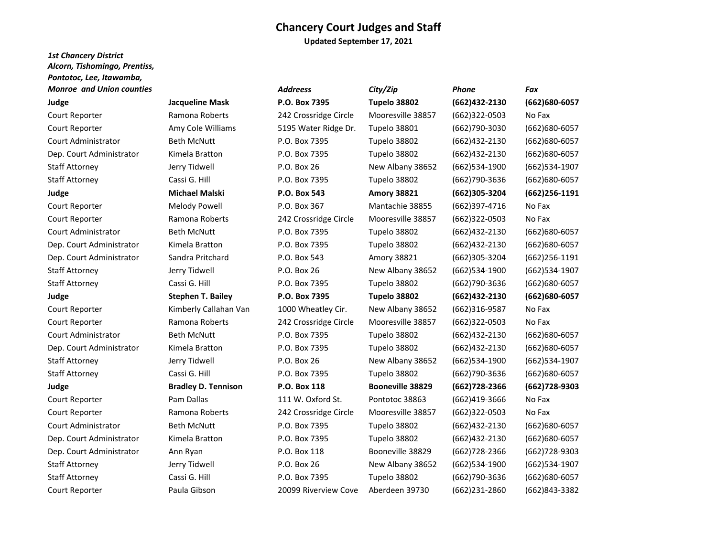**Updated September 17, 2021**

## *1st Chancery District Alcorn, Tishomingo, Prentiss, Pontotoc, Lee, Itawamba, Monroe and Union counties City*

| <b>Monroe and Union counties</b> |                            | <b>Addreess</b>       | City/Zip                | <b>Phone</b>      | Fax              |
|----------------------------------|----------------------------|-----------------------|-------------------------|-------------------|------------------|
| Judge                            | <b>Jacqueline Mask</b>     | P.O. Box 7395         | Tupelo 38802            | (662)432-2130     | (662)680-6057    |
| Court Reporter                   | Ramona Roberts             | 242 Crossridge Circle | Mooresville 38857       | $(662)322-0503$   | No Fax           |
| Court Reporter                   | Amy Cole Williams          | 5195 Water Ridge Dr.  | <b>Tupelo 38801</b>     | (662)790-3030     | (662)680-6057    |
| Court Administrator              | <b>Beth McNutt</b>         | P.O. Box 7395         | Tupelo 38802            | $(662)432 - 2130$ | (662)680-6057    |
| Dep. Court Administrator         | Kimela Bratton             | P.O. Box 7395         | Tupelo 38802            | (662)432-2130     | (662)680-6057    |
| <b>Staff Attorney</b>            | Jerry Tidwell              | P.O. Box 26           | New Albany 38652        | (662)534-1900     | (662)534-1907    |
| <b>Staff Attorney</b>            | Cassi G. Hill              | P.O. Box 7395         | Tupelo 38802            | (662)790-3636     | (662)680-6057    |
| Judge                            | <b>Michael Malski</b>      | P.O. Box 543          | <b>Amory 38821</b>      | (662)305-3204     | $(662)$ 256-1191 |
| Court Reporter                   | <b>Melody Powell</b>       | P.O. Box 367          | Mantachie 38855         | (662)397-4716     | No Fax           |
| Court Reporter                   | Ramona Roberts             | 242 Crossridge Circle | Mooresville 38857       | $(662)322-0503$   | No Fax           |
| Court Administrator              | <b>Beth McNutt</b>         | P.O. Box 7395         | Tupelo 38802            | $(662)432 - 2130$ | (662)680-6057    |
| Dep. Court Administrator         | Kimela Bratton             | P.O. Box 7395         | Tupelo 38802            | (662)432-2130     | (662)680-6057    |
| Dep. Court Administrator         | Sandra Pritchard           | P.O. Box 543          | Amory 38821             | (662)305-3204     | $(662)$ 256-1191 |
| Staff Attorney                   | Jerry Tidwell              | P.O. Box 26           | New Albany 38652        | (662)534-1900     | (662) 534-1907   |
| <b>Staff Attorney</b>            | Cassi G. Hill              | P.O. Box 7395         | Tupelo 38802            | (662)790-3636     | (662)680-6057    |
| Judge                            | <b>Stephen T. Bailey</b>   | P.O. Box 7395         | Tupelo 38802            | (662)432-2130     | (662)680-6057    |
| Court Reporter                   | Kimberly Callahan Van      | 1000 Wheatley Cir.    | New Albany 38652        | $(662)316-9587$   | No Fax           |
| Court Reporter                   | Ramona Roberts             | 242 Crossridge Circle | Mooresville 38857       | (662)322-0503     | No Fax           |
| Court Administrator              | <b>Beth McNutt</b>         | P.O. Box 7395         | Tupelo 38802            | $(662)432 - 2130$ | (662)680-6057    |
| Dep. Court Administrator         | Kimela Bratton             | P.O. Box 7395         | Tupelo 38802            | (662)432-2130     | (662)680-6057    |
| <b>Staff Attorney</b>            | Jerry Tidwell              | P.O. Box 26           | New Albany 38652        | $(662)$ 534-1900  | (662) 534-1907   |
| <b>Staff Attorney</b>            | Cassi G. Hill              | P.O. Box 7395         | Tupelo 38802            | (662)790-3636     | (662)680-6057    |
| Judge                            | <b>Bradley D. Tennison</b> | P.O. Box 118          | <b>Booneville 38829</b> | (662) 728-2366    | (662)728-9303    |
| Court Reporter                   | Pam Dallas                 | 111 W. Oxford St.     | Pontotoc 38863          | (662)419-3666     | No Fax           |
| Court Reporter                   | Ramona Roberts             | 242 Crossridge Circle | Mooresville 38857       | $(662)322-0503$   | No Fax           |
| Court Administrator              | <b>Beth McNutt</b>         | P.O. Box 7395         | Tupelo 38802            | (662)432-2130     | (662) 680-6057   |
| Dep. Court Administrator         | Kimela Bratton             | P.O. Box 7395         | Tupelo 38802            | $(662)432 - 2130$ | (662)680-6057    |
| Dep. Court Administrator         | Ann Ryan                   | P.O. Box 118          | Booneville 38829        | $(662)728-2366$   | (662) 728-9303   |
| <b>Staff Attorney</b>            | Jerry Tidwell              | P.O. Box 26           | New Albany 38652        | (662)534-1900     | (662)534-1907    |
| <b>Staff Attorney</b>            | Cassi G. Hill              | P.O. Box 7395         | Tupelo 38802            | (662)790-3636     | (662)680-6057    |
| Court Reporter                   | Paula Gibson               | 20099 Riverview Cove  | Aberdeen 39730          | (662)231-2860     | (662)843-3382    |

| r viitutut, LCC, ituwuilluu,     |                            |                       |                         |                  |                  |
|----------------------------------|----------------------------|-----------------------|-------------------------|------------------|------------------|
| <b>Monroe</b> and Union counties |                            | <b>Addreess</b>       | City/Zip                | Phone            | Fax              |
| Judge                            | <b>Jacqueline Mask</b>     | P.O. Box 7395         | Tupelo 38802            | (662)432-2130    | (662) 680-6057   |
| Court Reporter                   | Ramona Roberts             | 242 Crossridge Circle | Mooresville 38857       | (662)322-0503    | No Fax           |
| Court Reporter                   | Amy Cole Williams          | 5195 Water Ridge Dr.  | Tupelo 38801            | (662)790-3030    | (662) 680-6057   |
| Court Administrator              | <b>Beth McNutt</b>         | P.O. Box 7395         | Tupelo 38802            | (662)432-2130    | $(662)680-6057$  |
| Dep. Court Administrator         | Kimela Bratton             | P.O. Box 7395         | Tupelo 38802            | (662)432-2130    | $(662)680-6057$  |
| <b>Staff Attorney</b>            | Jerry Tidwell              | P.O. Box 26           | New Albany 38652        | (662)534-1900    | (662)534-1907    |
| <b>Staff Attorney</b>            | Cassi G. Hill              | P.O. Box 7395         | Tupelo 38802            | (662)790-3636    | (662) 680-6057   |
| Judge                            | <b>Michael Malski</b>      | P.O. Box 543          | <b>Amory 38821</b>      | (662)305-3204    | $(662)$ 256-1191 |
| Court Reporter                   | <b>Melody Powell</b>       | P.O. Box 367          | Mantachie 38855         | (662)397-4716    | No Fax           |
| Court Reporter                   | Ramona Roberts             | 242 Crossridge Circle | Mooresville 38857       | (662)322-0503    | No Fax           |
| Court Administrator              | <b>Beth McNutt</b>         | P.O. Box 7395         | Tupelo 38802            | (662)432-2130    | (662) 680-6057   |
| Dep. Court Administrator         | Kimela Bratton             | P.O. Box 7395         | Tupelo 38802            | (662)432-2130    | $(662)680-6057$  |
| Dep. Court Administrator         | Sandra Pritchard           | P.O. Box 543          | Amory 38821             | (662)305-3204    | $(662)$ 256-1191 |
| <b>Staff Attorney</b>            | Jerry Tidwell              | P.O. Box 26           | New Albany 38652        | (662)534-1900    | (662)534-1907    |
| Staff Attorney                   | Cassi G. Hill              | P.O. Box 7395         | Tupelo 38802            | (662)790-3636    | (662) 680-6057   |
| Judge                            | <b>Stephen T. Bailey</b>   | P.O. Box 7395         | Tupelo 38802            | (662)432-2130    | $(662)680-6057$  |
| Court Reporter                   | Kimberly Callahan Van      | 1000 Wheatley Cir.    | New Albany 38652        | (662)316-9587    | No Fax           |
| Court Reporter                   | Ramona Roberts             | 242 Crossridge Circle | Mooresville 38857       | (662)322-0503    | No Fax           |
| Court Administrator              | <b>Beth McNutt</b>         | P.O. Box 7395         | Tupelo 38802            | (662)432-2130    | (662) 680-6057   |
| Dep. Court Administrator         | Kimela Bratton             | P.O. Box 7395         | Tupelo 38802            | (662)432-2130    | (662) 680-6057   |
| <b>Staff Attorney</b>            | Jerry Tidwell              | P.O. Box 26           | New Albany 38652        | (662)534-1900    | (662)534-1907    |
| <b>Staff Attorney</b>            | Cassi G. Hill              | P.O. Box 7395         | Tupelo 38802            | (662)790-3636    | (662)680-6057    |
| Judge                            | <b>Bradley D. Tennison</b> | P.O. Box 118          | <b>Booneville 38829</b> | (662) 728-2366   | (662)728-9303    |
| Court Reporter                   | Pam Dallas                 | 111 W. Oxford St.     | Pontotoc 38863          | (662)419-3666    | No Fax           |
| Court Reporter                   | Ramona Roberts             | 242 Crossridge Circle | Mooresville 38857       | (662)322-0503    | No Fax           |
| <b>Court Administrator</b>       | <b>Beth McNutt</b>         | P.O. Box 7395         | Tupelo 38802            | (662)432-2130    | (662)680-6057    |
| Dep. Court Administrator         | Kimela Bratton             | P.O. Box 7395         | Tupelo 38802            | (662)432-2130    | (662) 680-6057   |
| Dep. Court Administrator         | Ann Ryan                   | P.O. Box 118          | Booneville 38829        | $(662)728-2366$  | (662) 728-9303   |
| <b>Staff Attorney</b>            | Jerry Tidwell              | P.O. Box 26           | New Albany 38652        | $(662)$ 534-1900 | (662) 534-1907   |
| <b>Staff Attorney</b>            | Cassi G. Hill              | P.O. Box 7395         | Tupelo 38802            | (662)790-3636    | (662)680-6057    |
|                                  |                            |                       |                         |                  |                  |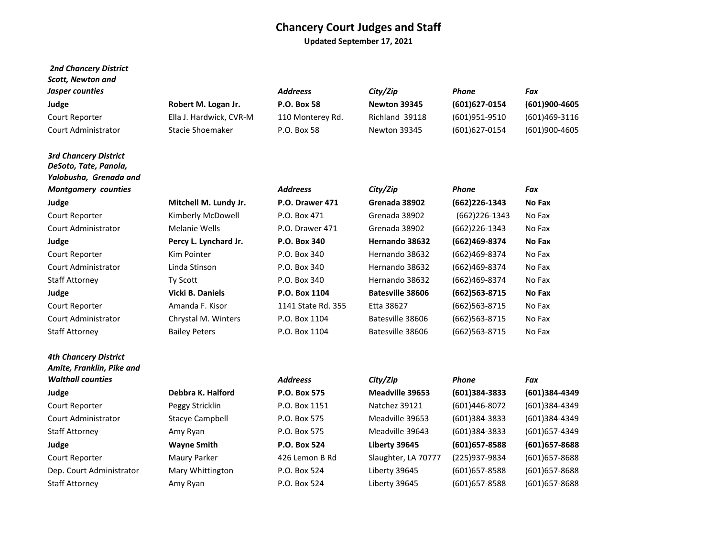**Updated September 17, 2021**

| <b>2nd Chancery District</b>                                                    |                         |                    |                         |                  |               |
|---------------------------------------------------------------------------------|-------------------------|--------------------|-------------------------|------------------|---------------|
| <b>Scott, Newton and</b>                                                        |                         | <b>Addreess</b>    |                         | Phone            | Fax           |
| Jasper counties                                                                 |                         |                    | City/Zip                |                  |               |
| Judge                                                                           | Robert M. Logan Jr.     | <b>P.O. Box 58</b> | Newton 39345            | (601) 627-0154   | (601)900-4605 |
| Court Reporter                                                                  | Ella J. Hardwick, CVR-M | 110 Monterey Rd.   | Richland 39118          | (601)951-9510    | (601)469-3116 |
| Court Administrator                                                             | Stacie Shoemaker        | P.O. Box 58        | Newton 39345            | (601) 627-0154   | (601)900-4605 |
| <b>3rd Chancery District</b><br>DeSoto, Tate, Panola,<br>Yalobusha, Grenada and |                         |                    |                         |                  |               |
| <b>Montgomery counties</b>                                                      |                         | <b>Addreess</b>    | City/Zip                | <b>Phone</b>     | Fax           |
| Judge                                                                           | Mitchell M. Lundy Jr.   | P.O. Drawer 471    | Grenada 38902           | (662) 226-1343   | No Fax        |
| Court Reporter                                                                  | Kimberly McDowell       | P.O. Box 471       | Grenada 38902           | $(662)$ 226-1343 | No Fax        |
| Court Administrator                                                             | Melanie Wells           | P.O. Drawer 471    | Grenada 38902           | (662)226-1343    | No Fax        |
| Judge                                                                           | Percy L. Lynchard Jr.   | P.O. Box 340       | Hernando 38632          | (662)469-8374    | No Fax        |
| Court Reporter                                                                  | Kim Pointer             | P.O. Box 340       | Hernando 38632          | (662)469-8374    | No Fax        |
| <b>Court Administrator</b>                                                      | Linda Stinson           | P.O. Box 340       | Hernando 38632          | (662)469-8374    | No Fax        |
| <b>Staff Attorney</b>                                                           | Ty Scott                | P.O. Box 340       | Hernando 38632          | (662)469-8374    | No Fax        |
| Judge                                                                           | Vicki B. Daniels        | P.O. Box 1104      | <b>Batesville 38606</b> | (662)563-8715    | No Fax        |
| Court Reporter                                                                  | Amanda F. Kisor         | 1141 State Rd. 355 | Etta 38627              | (662)563-8715    | No Fax        |
| Court Administrator                                                             | Chrystal M. Winters     | P.O. Box 1104      | Batesville 38606        | (662)563-8715    | No Fax        |

| 4th Chancery District<br>Amite, Franklin, Pike and |                        |                 |                     |                |                |
|----------------------------------------------------|------------------------|-----------------|---------------------|----------------|----------------|
| <b>Walthall counties</b>                           |                        | <b>Addreess</b> | City/Zip            | Phone          | Fax            |
| Judge                                              | Debbra K. Halford      | P.O. Box 575    | Meadville 39653     | (601)384-3833  | (601)384-4349  |
| Court Reporter                                     | Peggy Stricklin        | P.O. Box 1151   | Natchez 39121       | (601)446-8072  | (601)384-4349  |
| <b>Court Administrator</b>                         | <b>Stacye Campbell</b> | P.O. Box 575    | Meadville 39653     | (601)384-3833  | (601)384-4349  |
| Staff Attorney                                     | Amy Ryan               | P.O. Box 575    | Meadville 39643     | (601)384-3833  | (601) 657-4349 |
| Judge                                              | <b>Wayne Smith</b>     | P.O. Box 524    | Liberty 39645       | (601) 657-8588 | (601) 657-8688 |
| Court Reporter                                     | Maury Parker           | 426 Lemon B Rd  | Slaughter, LA 70777 | (225)937-9834  | (601) 657-8688 |
| Dep. Court Administrator                           | Mary Whittington       | P.O. Box 524    | Liberty 39645       | (601) 657-8588 | (601) 657-8688 |
| Staff Attorney                                     | Amy Ryan               | P.O. Box 524    | Liberty 39645       | (601) 657-8588 | (601) 657-8688 |
|                                                    |                        |                 |                     |                |                |

Staff Attorney **Bailey Peters** P.O. Box 1104 Batesville 38606 (662)563-8715 No Fax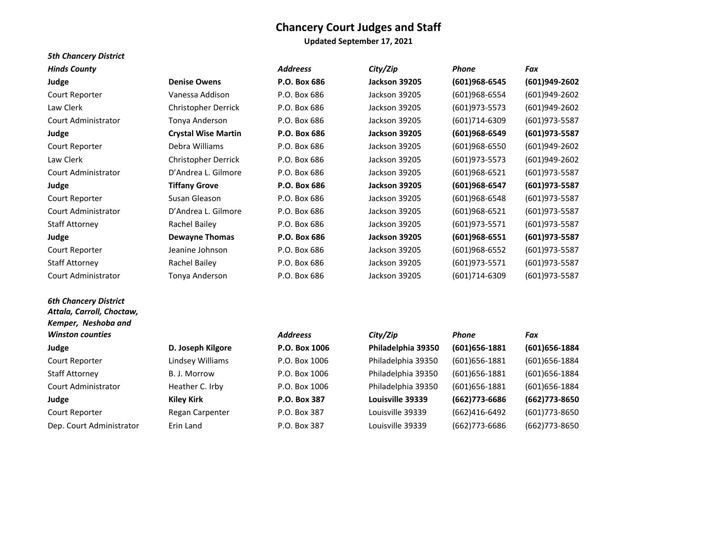**Updated September 17, 2021**

| <b>5th Chancery District</b>                                                     |                            |                 |                      |                   |                  |
|----------------------------------------------------------------------------------|----------------------------|-----------------|----------------------|-------------------|------------------|
| <b>Hinds County</b>                                                              |                            | <b>Addreess</b> | City/Zip             | Phone             | Fax              |
| Judge                                                                            | <b>Denise Owens</b>        | P.O. Box 686    | <b>Jackson 39205</b> | (601)968-6545     | $(601)949-2602$  |
| Court Reporter                                                                   | Vanessa Addison            | P.O. Box 686    | Jackson 39205        | (601)968-6554     | $(601)949-2602$  |
| Law Clerk                                                                        | Christopher Derrick        | P.O. Box 686    | Jackson 39205        | $(601)973 - 5573$ | (601)949-2602    |
| <b>Court Administrator</b>                                                       | Tonya Anderson             | P.O. Box 686    | Jackson 39205        | (601)714-6309     | (601)973-5587    |
| Judge                                                                            | <b>Crystal Wise Martin</b> | P.O. Box 686    | <b>Jackson 39205</b> | (601)968-6549     | (601) 973-5587   |
| Court Reporter                                                                   | Debra Williams             | P.O. Box 686    | Jackson 39205        | (601)968-6550     | (601)949-2602    |
| Law Clerk                                                                        | Christopher Derrick        | P.O. Box 686    | Jackson 39205        | (601) 973-5573    | (601)949-2602    |
| Court Administrator                                                              | D'Andrea L. Gilmore        | P.O. Box 686    | Jackson 39205        | (601)968-6521     | (601)973-5587    |
| Judge                                                                            | <b>Tiffany Grove</b>       | P.O. Box 686    | <b>Jackson 39205</b> | $(601)968-6547$   | (601)973-5587    |
| Court Reporter                                                                   | Susan Gleason              | P.O. Box 686    | Jackson 39205        | (601)968-6548     | (601) 973-5587   |
| <b>Court Administrator</b>                                                       | D'Andrea L. Gilmore        | P.O. Box 686    | Jackson 39205        | (601)968-6521     | (601)973-5587    |
| <b>Staff Attorney</b>                                                            | Rachel Bailey              | P.O. Box 686    | Jackson 39205        | (601) 973-5571    | (601)973-5587    |
| Judge                                                                            | <b>Dewayne Thomas</b>      | P.O. Box 686    | <b>Jackson 39205</b> | $(601)968-6551$   | (601) 973-5587   |
| Court Reporter                                                                   | Jeanine Johnson            | P.O. Box 686    | Jackson 39205        | (601)968-6552     | (601)973-5587    |
| <b>Staff Attorney</b>                                                            | Rachel Bailey              | P.O. Box 686    | Jackson 39205        | (601)973-5571     | (601)973-5587    |
| Court Administrator                                                              | Tonya Anderson             | P.O. Box 686    | Jackson 39205        | (601)714-6309     | (601)973-5587    |
| <b>6th Chancery District</b><br>Attala, Carroll, Choctaw,<br>Kemper, Neshoba and |                            |                 |                      |                   |                  |
| <b>Winston counties</b>                                                          |                            | <b>Addreess</b> | City/Zip             | Phone             | Fax              |
| Judge                                                                            | D. Joseph Kilgore          | P.O. Box 1006   | Philadelphia 39350   | $(601)656 - 1881$ | $(601)$ 656-1884 |
| Court Reporter                                                                   | Lindsey Williams           | P.O. Box 1006   | Philadelphia 39350   | $(601)656 - 1881$ | (601) 656-1884   |
| <b>Staff Attorney</b>                                                            | B. J. Morrow               | P.O. Box 1006   | Philadelphia 39350   | $(601)656 - 1881$ | (601) 656-1884   |
| <b>Court Administrator</b>                                                       | Heather C. Irby            | P.O. Box 1006   | Philadelphia 39350   | $(601)$ 656-1881  | (601) 656-1884   |
| Judge                                                                            | <b>Kiley Kirk</b>          | P.O. Box 387    | Louisville 39339     | (662) 773-6686    | (662) 773-8650   |
| Court Reporter                                                                   | Regan Carpenter            | P.O. Box 387    | Louisville 39339     | (662)416-6492     | (601) 773-8650   |
| Dep. Court Administrator                                                         | Erin Land                  | P.O. Box 387    | Louisville 39339     | (662)773-6686     | (662) 773-8650   |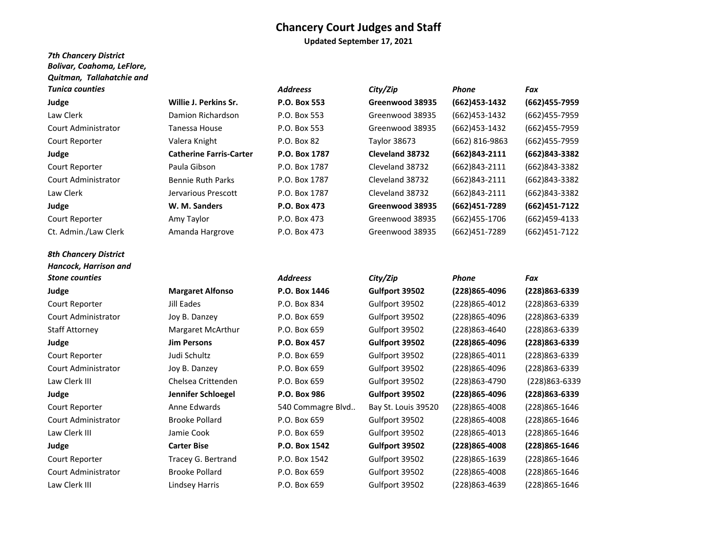**Updated September 17, 2021**

## *7th Chancery District Bolivar, Coahoma, LeFlore, Quitman, Tallahatchie and*

| Law Clerk                  |
|----------------------------|
| <b>Court Administrator</b> |
| Court Reporter             |
| Judge                      |
| Court Reporter             |
| <b>Court Administrator</b> |
| Law Clerk                  |
| Judge                      |

*8th Chancery District Hancock, Harrison and* 

- 
- 
- 

Law Clerk III

| <b>Tunica counties</b>     |                                | <b>Addreess</b> |
|----------------------------|--------------------------------|-----------------|
| Judge                      | Willie J. Perkins Sr.          | P.O. Box 553    |
| Law Clerk                  | Damion Richardson              | P.O. Box 553    |
| <b>Court Administrator</b> | Tanessa House                  | P.O. Box 553    |
| Court Reporter             | Valera Knight                  | P.O. Box 82     |
| Judge                      | <b>Catherine Farris-Carter</b> | P.O. Box 178    |
| Court Reporter             | Paula Gibson                   | P.O. Box 1787   |
| <b>Court Administrator</b> | <b>Bennie Ruth Parks</b>       | P.O. Box 1787   |
| Law Clerk                  | Jervarious Prescott            | P.O. Box 1787   |
| Judge                      | W. M. Sanders                  | P.O. Box 473    |
| Court Reporter             | Amy Taylor                     | P.O. Box 473    |
| Ct. Admin./Law Clerk       | Amanda Hargrove                | P.O. Box 473    |
|                            |                                |                 |

Jill Eades Joy B. Danzey

**Jim Persons** Judi Schultz Joy B. Danzey

Anne Edwards Brooke Pollard Jamie Cook **Carter Bise**

Brooke Pollard

| Tunica counties      |                                | <b>Addreess</b> | City/Zip        | Phone             | Fax           |
|----------------------|--------------------------------|-----------------|-----------------|-------------------|---------------|
| Judge                | Willie J. Perkins Sr.          | P.O. Box 553    | Greenwood 38935 | (662) 453-1432    | (662)455-7959 |
| Law Clerk            | Damion Richardson              | P.O. Box 553    | Greenwood 38935 | (662)453-1432     | (662)455-7959 |
| Court Administrator  | Tanessa House                  | P.O. Box 553    | Greenwood 38935 | (662)453-1432     | (662)455-7959 |
| Court Reporter       | Valera Knight                  | P.O. Box 82     | Taylor 38673    | (662) 816-9863    | (662)455-7959 |
| Judge                | <b>Catherine Farris-Carter</b> | P.O. Box 1787   | Cleveland 38732 | $(662)843-2111$   | (662)843-3382 |
| Court Reporter       | Paula Gibson                   | P.O. Box 1787   | Cleveland 38732 | $(662)843 - 2111$ | (662)843-3382 |
| Court Administrator  | <b>Bennie Ruth Parks</b>       | P.O. Box 1787   | Cleveland 38732 | (662)843-2111     | (662)843-3382 |
| Law Clerk            | Jervarious Prescott            | P.O. Box 1787   | Cleveland 38732 | $(662)843 - 2111$ | (662)843-3382 |
| Judge                | W. M. Sanders                  | P.O. Box 473    | Greenwood 38935 | (662)451-7289     | (662)451-7122 |
| Court Reporter       | Amy Taylor                     | P.O. Box 473    | Greenwood 38935 | (662)455-1706     | (662)459-4133 |
| Ct. Admin./Law Clerk | Amanda Hargrove                | P.O. Box 473    | Greenwood 38935 | (662)451-7289     | (662)451-7122 |

# *Stone counties Addreess City/Zip Phone Fax* **Judge P.O. Box 1446 Gulfport 39502 (228)865-4096 (228)863-6339 Margaret Alfonso** Court Reporter P.O. Box 834 Gulfport 39502 (228)865-4012 (228)863-6339 Court Administrator P.O. Box 659 Gulfport 39502 (228)865-4096 (228)863-6339 Staff Attorney P.O. Box 659 Gulfport 39502 (228)863-4640 (228)863-6339 Margaret McArthur **Judge P.O. Box 457 Gulfport 39502 (228)865-4096 (228)863-6339** Court Reporter P.O. Box 659 Gulfport 39502 (228)865-4011 (228)863-6339 Court Administrator P.O. Box 659 Gulfport 39502 (228)865-4096 (228)863-6339 Law Clerk III P.O. Box 659 Gulfport 39502 (228)863-4790 (228)863-6339 Chelsea Crittenden **Judge P.O. Box 986 Gulfport 39502 (228)865-4096 (228)863-6339 Jennifer Schloegel** Court Reporter 540 Commagre Blvd.. Bay St. Louis 39520 (228)865-4008 (228)865-1646 Court Administrator P.O. Box 659 Gulfport 39502 (228)865-4008 (228)865-1646 Law Clerk III P.O. Box 659 Gulfport 39502 (228)865-4013 (228)865-1646 **Judge P.O. Box 1542 Gulfport 39502 (228)865-4008 (228)865-1646** Court Reporter P.O. Box 1542 Gulfport 39502 (228)865-1639 (228)865-1646 Tracey G. Bertrand Court Administrator P.O. Box 659 Gulfport 39502 (228)865-4008 (228)865-1646 Lindsey Harris P.O. Box 659 Gulfport 39502 (228)863-4639 (228)865-1646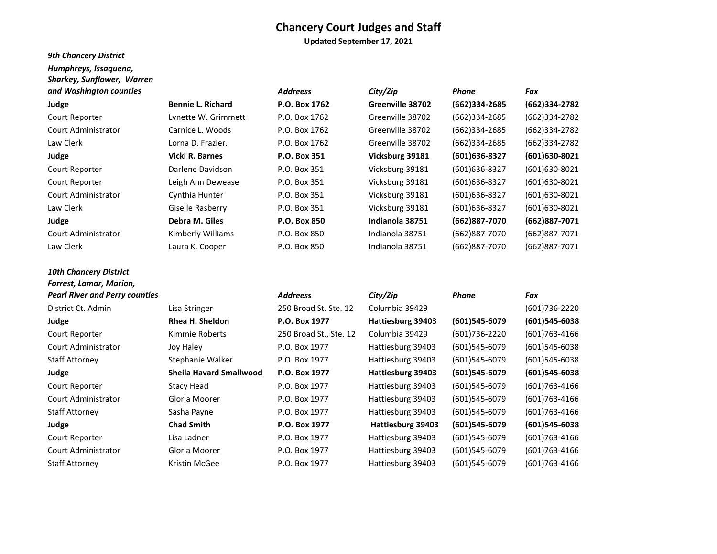**Updated September 17, 2021**

# *9th Chancery District*

*10th Chancery District* 

| Humphreys, Issaguena,             |  |
|-----------------------------------|--|
| <b>Sharkey, Sunflower, Warren</b> |  |

| and Washington counties |                          | <b>Addreess</b> | City/Zip         | Phone          | Fax             |
|-------------------------|--------------------------|-----------------|------------------|----------------|-----------------|
| Judge                   | <b>Bennie L. Richard</b> | P.O. Box 1762   | Greenville 38702 | (662)334-2685  | (662)334-2782   |
| Court Reporter          | Lynette W. Grimmett      | P.O. Box 1762   | Greenville 38702 | (662)334-2685  | (662)334-2782   |
| Court Administrator     | Carnice L. Woods         | P.O. Box 1762   | Greenville 38702 | (662)334-2685  | (662)334-2782   |
| Law Clerk               | Lorna D. Frazier.        | P.O. Box 1762   | Greenville 38702 | (662)334-2685  | (662)334-2782   |
| Judge                   | Vicki R. Barnes          | P.O. Box 351    | Vicksburg 39181  | (601) 636-8327 | (601)630-8021   |
| Court Reporter          | Darlene Davidson         | P.O. Box 351    | Vicksburg 39181  | (601)636-8327  | $(601)630-8021$ |
| Court Reporter          | Leigh Ann Dewease        | P.O. Box 351    | Vicksburg 39181  | (601)636-8327  | (601)630-8021   |
| Court Administrator     | Cynthia Hunter           | P.O. Box 351    | Vicksburg 39181  | (601)636-8327  | (601)630-8021   |
| Law Clerk               | Giselle Rasberry         | P.O. Box 351    | Vicksburg 39181  | (601)636-8327  | (601)630-8021   |
| Judge                   | Debra M. Giles           | P.O. Box 850    | Indianola 38751  | (662)887-7070  | (662)887-7071   |
| Court Administrator     | Kimberly Williams        | P.O. Box 850    | Indianola 38751  | (662)887-7070  | (662)887-7071   |
| Law Clerk               | Laura K. Cooper          | P.O. Box 850    | Indianola 38751  | (662)887-7070  | (662)887-7071   |

# *Forrest, Lamar, Marion, Pearl River and Perry counties Addreess City/Zip Phone Fax* District Ct. Admin Lisa Stringer 250 Broad St. Ste. 12 Columbia 39429 (601)736-2220 **Judge Rhea H. Sheldon P.O. Box 1977 Hattiesburg 39403 (601)545-6079 (601)545-6038** Court Reporter Kimmie Roberts 250 Broad St., Ste. 12 Columbia 39429 (601)736-2220 (601)763-4166 Court Administrator Joy Haley P.O. Box 1977 Hattiesburg 39403 (601)545-6079 (601)545-6038 Staff Attorney Stephanie Walker P.O. Box 1977 Hattiesburg 39403 (601)545-6079 (601)545-6038 **Judge Sheila Havard Smallwood P.O. Box 1977 Hattiesburg 39403 (601)545-6079 (601)545-6038** Court Reporter Stacy Head P.O. Box 1977 Hattiesburg 39403 (601)545-6079 (601)763-4166 Court Administrator Gloria Moorer P.O. Box 1977 Hattiesburg 39403 (601)545-6079 (601)763-4166 Staff Attorney Sasha Payne P.O. Box 1977 Hattiesburg 39403 (601)545-6079 (601)763-4166 **Judge Chad Smith P.O. Box 1977 Hattiesburg 39403 (601)545-6079 (601)545-6038** Court Reporter Lisa Ladner P.O. Box 1977 Hattiesburg 39403 (601)545-6079 (601)763-4166 Court Administrator Gloria Moorer P.O. Box 1977 Hattiesburg 39403 (601)545-6079 (601)763-4166 Staff Attorney **Kristin McGee 19. Box 1977** Hattiesburg 39403 (601)545-6079 (601)763-4166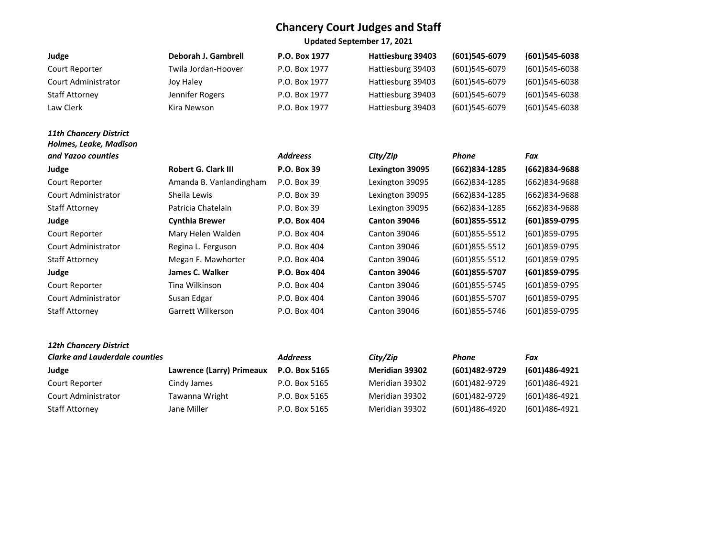**Updated September 17, 2021**

| Judge               | Deborah J. Gambrell | P.O. Box 1977 | Hattiesburg 39403 | $(601)$ 545-6079 | $(601)545-6038$ |
|---------------------|---------------------|---------------|-------------------|------------------|-----------------|
| Court Reporter      | Twila Jordan-Hoover | P.O. Box 1977 | Hattiesburg 39403 | (601)545-6079    | (601)545-6038   |
| Court Administrator | Joy Haley           | P.O. Box 1977 | Hattiesburg 39403 | (601)545-6079    | $(601)545-6038$ |
| Staff Attorney      | Jennifer Rogers     | P.O. Box 1977 | Hattiesburg 39403 | $(601)$ 545-6079 | $(601)545-6038$ |
| Law Clerk           | Kira Newson         | P.O. Box 1977 | Hattiesburg 39403 | (601)545-6079    | (601)545-6038   |

# *11th Chancery District Holmes, Leake, Madison*  and Yazoo counties *Address*

| Robert G. Clark III     | 17.U. DU) |
|-------------------------|-----------|
| Amanda B. Vanlandingham | P.O. Box  |
| Sheila Lewis            | P.O. Box  |
| Patricia Chatelain      | P.O. Box  |
| <b>Cynthia Brewer</b>   | $P.O.$ Bo |
| Mary Helen Walden       | P.O. Box  |
| Regina L. Ferguson      | P.O. Box  |
| Megan F. Mawhorter      | P.O. Box  |
| James C. Walker         | $P.O.$ Bo |
| Tina Wilkinson          | P.O. Box  |
| Susan Edgar             | P.O. Box  |
| Garrett Wilkerson       | P.O. Box  |
|                         |           |

| and Yazoo counties         |                            | <b>Addreess</b> | City/Zip               | <b>Phone</b>      | Fax           |
|----------------------------|----------------------------|-----------------|------------------------|-------------------|---------------|
| Judge                      | <b>Robert G. Clark III</b> | P.O. Box 39     | <b>Lexington 39095</b> | (662)834-1285     | (662)834-9688 |
| Court Reporter             | Amanda B. Vanlandingham    | P.O. Box 39     | Lexington 39095        | (662)834-1285     | (662)834-9688 |
| <b>Court Administrator</b> | Sheila Lewis               | P.O. Box 39     | Lexington 39095        | (662)834-1285     | (662)834-9688 |
| <b>Staff Attorney</b>      | Patricia Chatelain         | P.O. Box 39     | Lexington 39095        | (662)834-1285     | (662)834-9688 |
| Judge                      | <b>Cynthia Brewer</b>      | P.O. Box 404    | <b>Canton 39046</b>    | $(601)855 - 5512$ | (601)859-0795 |
| Court Reporter             | Mary Helen Walden          | P.O. Box 404    | <b>Canton 39046</b>    | $(601)855 - 5512$ | (601)859-0795 |
| <b>Court Administrator</b> | Regina L. Ferguson         | P.O. Box 404    | <b>Canton 39046</b>    | (601) 855-5512    | (601)859-0795 |
| <b>Staff Attorney</b>      | Megan F. Mawhorter         | P.O. Box 404    | <b>Canton 39046</b>    | $(601)855 - 5512$ | (601)859-0795 |
| Judge                      | James C. Walker            | P.O. Box 404    | <b>Canton 39046</b>    | (601) 855-5707    | (601)859-0795 |
| Court Reporter             | Tina Wilkinson             | P.O. Box 404    | <b>Canton 39046</b>    | (601)855-5745     | (601)859-0795 |
| <b>Court Administrator</b> | Susan Edgar                | P.O. Box 404    | <b>Canton 39046</b>    | (601)855-5707     | (601)859-0795 |
| <b>Staff Attorney</b>      | Garrett Wilkerson          | P.O. Box 404    | <b>Canton 39046</b>    | (601)855-5746     | (601)859-0795 |

# *12th Chancery District*

| <b>Clarke and Lauderdale counties</b> |                           | <b>Addreess</b> | City/Zip              | Phone         | Fax           |
|---------------------------------------|---------------------------|-----------------|-----------------------|---------------|---------------|
| Judge                                 | Lawrence (Larry) Primeaux | P.O. Box 5165   | <b>Meridian 39302</b> | (601)482-9729 | (601)486-4921 |
| Court Reporter                        | Cindy James               | P.O. Box 5165   | Meridian 39302        | (601)482-9729 | (601)486-4921 |
| Court Administrator                   | Tawanna Wright            | P.O. Box 5165   | Meridian 39302        | (601)482-9729 | (601)486-4921 |
| <b>Staff Attorney</b>                 | Jane Miller               | P.O. Box 5165   | Meridian 39302        | (601)486-4920 | (601)486-4921 |

| y/Zip:        | Phone         | Fax              |
|---------------|---------------|------------------|
| eridian 39302 | (601)482-9729 | (601)486-492     |
| eridian 39302 | (601)482-9729 | $(601)486 - 492$ |
| eridian 39302 | (601)482-9729 | $(601)486 - 492$ |
| eridian 39302 | (601)486-4920 | $(601)486 - 492$ |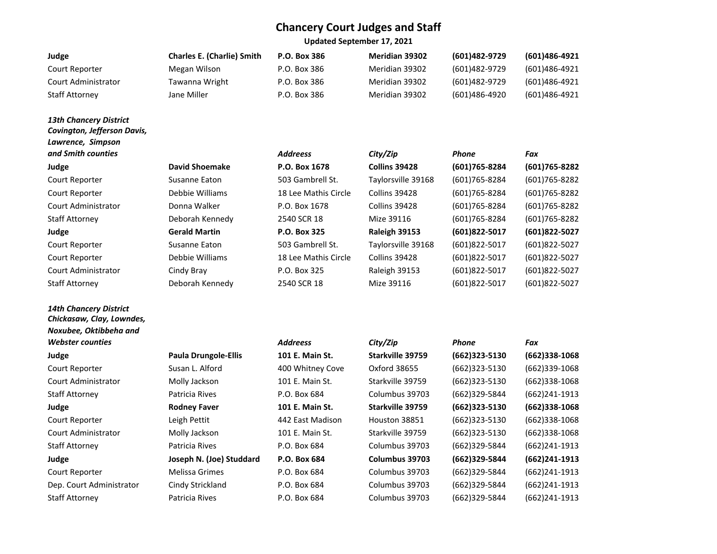**Updated September 17, 2021**

| Judge                 | <b>Charles E. (Charlie) Smith</b> | P.O. Box 386 | <b>Meridian 39302</b> | (601)482-9729 | (601)486-4921 |
|-----------------------|-----------------------------------|--------------|-----------------------|---------------|---------------|
| Court Reporter        | Megan Wilson                      | P.O. Box 386 | Meridian 39302        | (601)482-9729 | (601)486-4921 |
| Court Administrator   | Tawanna Wright                    | P.O. Box 386 | Meridian 39302        | (601)482-9729 | (601)486-4921 |
| <b>Staff Attorney</b> | Jane Miller                       | P.O. Box 386 | Meridian 39302        | (601)486-4920 | (601)486-4921 |

## *13th Chancery District Covington, Jefferson Davis, Lawrence, Simpson*  **and Smith counties**  *City City City City Phone <i>City Phone <i>City City Phone Phone Phone Phone Phone Phone Phone Phone Phone Phone Phone Phone*

# *14th Chancery District Chickasaw, Clay, Lowndes, Noxubee, Oktibbeha and Webster counties*

| vid Shoemake   |
|----------------|
| sanne Eaton    |
| bbie Williams  |
| nna Walker     |
| borah Kennedy! |
| rald Martin    |
| sanne Eaton    |
| bbie Williams  |
| าdy Bray       |
| borah Kennedv! |

| and Smith counties    |                       | <b>Addreess</b>      | City/Zip             | <b>Phone</b>   | Fax               |
|-----------------------|-----------------------|----------------------|----------------------|----------------|-------------------|
| Judge                 | <b>David Shoemake</b> | P.O. Box 1678        | <b>Collins 39428</b> | (601) 765-8284 | (601)765-8282     |
| Court Reporter        | Susanne Eaton         | 503 Gambrell St.     | Taylorsville 39168   | (601)765-8284  | (601)765-8282     |
| Court Reporter        | Debbie Williams       | 18 Lee Mathis Circle | Collins 39428        | (601)765-8284  | (601)765-8282     |
| Court Administrator   | Donna Walker          | P.O. Box 1678        | Collins 39428        | (601)765-8284  | (601)765-8282     |
| <b>Staff Attorney</b> | Deborah Kennedy       | 2540 SCR 18          | Mize 39116           | (601)765-8284  | (601) 765-8282    |
| Judge                 | <b>Gerald Martin</b>  | P.O. Box 325         | Raleigh 39153        | (601)822-5017  | (601)822-5027     |
| Court Reporter        | Susanne Eaton         | 503 Gambrell St.     | Taylorsville 39168   | (601)822-5017  | $(601)822 - 5027$ |
| Court Reporter        | Debbie Williams       | 18 Lee Mathis Circle | Collins 39428        | (601)822-5017  | (601)822-5027     |
| Court Administrator   | Cindy Bray            | P.O. Box 325         | Raleigh 39153        | (601)822-5017  | (601)822-5027     |
| Staff Attorney        | Deborah Kennedy       | 2540 SCR 18          | Mize 39116           | (601)822-5017  | $(601)822 - 5027$ |

| Webster counties         |                             | <b>Addreess</b>  | City/Zip         | Phone             | Fax              |
|--------------------------|-----------------------------|------------------|------------------|-------------------|------------------|
| Judge                    | <b>Paula Drungole-Ellis</b> | 101 E. Main St.  | Starkville 39759 | $(662)323 - 5130$ | $(662)338-1068$  |
| Court Reporter           | Susan L. Alford             | 400 Whitney Cove | Oxford 38655     | $(662)323 - 5130$ | (662)339-1068    |
| Court Administrator      | Molly Jackson               | 101 E. Main St.  | Starkville 39759 | $(662)323 - 5130$ | $(662)338-1068$  |
| <b>Staff Attorney</b>    | Patricia Rives              | P.O. Box 684     | Columbus 39703   | (662)329-5844     | $(662)$ 241-1913 |
| Judge                    | <b>Rodney Faver</b>         | 101 E. Main St.  | Starkville 39759 | $(662)323 - 5130$ | $(662)338-1068$  |
| Court Reporter           | Leigh Pettit                | 442 East Madison | Houston 38851    | $(662)323 - 5130$ | $(662)338-1068$  |
| Court Administrator      | Molly Jackson               | 101 E. Main St.  | Starkville 39759 | $(662)323 - 5130$ | $(662)338-1068$  |
| <b>Staff Attorney</b>    | Patricia Rives              | P.O. Box 684     | Columbus 39703   | (662)329-5844     | $(662)$ 241-1913 |
| Judge                    | Joseph N. (Joe) Studdard    | P.O. Box 684     | Columbus 39703   | (662)329-5844     | $(662)$ 241-1913 |
| Court Reporter           | <b>Melissa Grimes</b>       | P.O. Box 684     | Columbus 39703   | (662)329-5844     | $(662)$ 241-1913 |
| Dep. Court Administrator | Cindy Strickland            | P.O. Box 684     | Columbus 39703   | (662)329-5844     | $(662)$ 241-1913 |
| <b>Staff Attorney</b>    | Patricia Rives              | P.O. Box 684     | Columbus 39703   | (662)329-5844     | (662)241-1913    |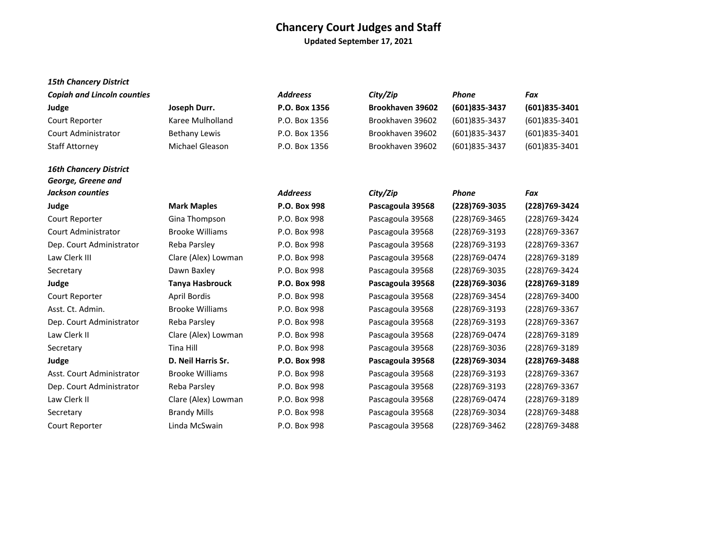**Updated September 17, 2021**

## *15th Chancery District*

*16th Chancery District* 

| <b>Copiah and Lincoln counties</b> |                      | <b>Addreess</b> | City/Zip                | Phone         | Fax           |
|------------------------------------|----------------------|-----------------|-------------------------|---------------|---------------|
| Judge                              | Joseph Durr.         | P.O. Box 1356   | <b>Brookhaven 39602</b> | (601)835-3437 | (601)835-3401 |
| Court Reporter                     | Karee Mulholland     | P.O. Box 1356   | Brookhaven 39602        | (601)835-3437 | (601)835-3401 |
| Court Administrator                | <b>Bethany Lewis</b> | P.O. Box 1356   | Brookhaven 39602        | (601)835-3437 | (601)835-3401 |
| <b>Staff Attorney</b>              | Michael Gleason      | P.O. Box 1356   | Brookhaven 39602        | (601)835-3437 | (601)835-3401 |

| George, Greene and        |                        |                 |                  |                |                |
|---------------------------|------------------------|-----------------|------------------|----------------|----------------|
| Jackson counties          |                        | <b>Addreess</b> | City/Zip         | <b>Phone</b>   | Fax            |
| Judge                     | <b>Mark Maples</b>     | P.O. Box 998    | Pascagoula 39568 | (228) 769-3035 | (228) 769-3424 |
| Court Reporter            | Gina Thompson          | P.O. Box 998    | Pascagoula 39568 | (228)769-3465  | (228)769-3424  |
| Court Administrator       | <b>Brooke Williams</b> | P.O. Box 998    | Pascagoula 39568 | (228) 769-3193 | (228) 769-3367 |
| Dep. Court Administrator  | Reba Parsley           | P.O. Box 998    | Pascagoula 39568 | (228) 769-3193 | (228) 769-3367 |
| Law Clerk III             | Clare (Alex) Lowman    | P.O. Box 998    | Pascagoula 39568 | (228)769-0474  | (228) 769-3189 |
| Secretary                 | Dawn Baxley            | P.O. Box 998    | Pascagoula 39568 | (228) 769-3035 | (228)769-3424  |
| Judge                     | <b>Tanya Hasbrouck</b> | P.O. Box 998    | Pascagoula 39568 | (228) 769-3036 | (228) 769-3189 |
| Court Reporter            | April Bordis           | P.O. Box 998    | Pascagoula 39568 | (228) 769-3454 | (228)769-3400  |
| Asst. Ct. Admin.          | <b>Brooke Williams</b> | P.O. Box 998    | Pascagoula 39568 | (228) 769-3193 | (228) 769-3367 |
| Dep. Court Administrator  | Reba Parsley           | P.O. Box 998    | Pascagoula 39568 | (228)769-3193  | (228) 769-3367 |
| Law Clerk II              | Clare (Alex) Lowman    | P.O. Box 998    | Pascagoula 39568 | (228)769-0474  | (228) 769-3189 |
| Secretary                 | Tina Hill              | P.O. Box 998    | Pascagoula 39568 | (228)769-3036  | (228) 769-3189 |
| Judge                     | D. Neil Harris Sr.     | P.O. Box 998    | Pascagoula 39568 | (228) 769-3034 | (228) 769-3488 |
| Asst. Court Administrator | <b>Brooke Williams</b> | P.O. Box 998    | Pascagoula 39568 | (228)769-3193  | (228) 769-3367 |
| Dep. Court Administrator  | Reba Parsley           | P.O. Box 998    | Pascagoula 39568 | (228) 769-3193 | (228) 769-3367 |
| Law Clerk II              | Clare (Alex) Lowman    | P.O. Box 998    | Pascagoula 39568 | (228)769-0474  | (228) 769-3189 |
| Secretary                 | <b>Brandy Mills</b>    | P.O. Box 998    | Pascagoula 39568 | (228)769-3034  | (228) 769-3488 |
| Court Reporter            | Linda McSwain          | P.O. Box 998    | Pascagoula 39568 | (228)769-3462  | (228)769-3488  |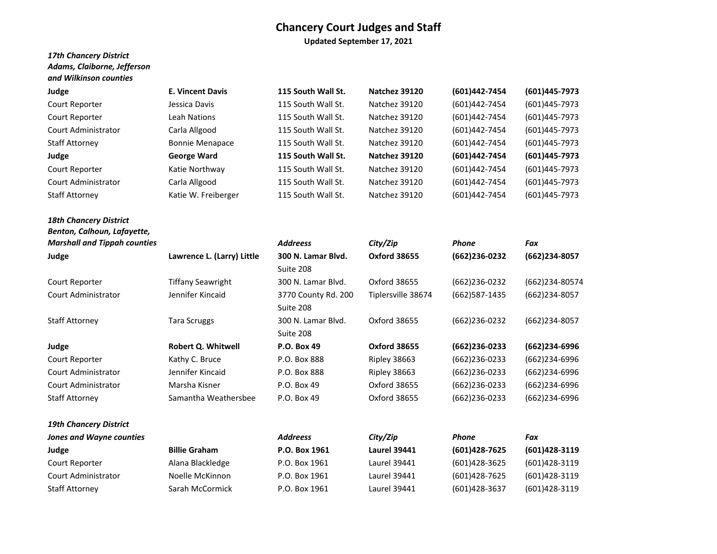**Updated September 17, 2021**

## *17th Chancery District Adams, Claiborne, Jefferson and Wilkinson counties*

| Judge                      | <b>E. Vincent Davis</b> | 115 South Wall St. | Natchez 39120 | (601)442-7454 | (601)445-7973 |
|----------------------------|-------------------------|--------------------|---------------|---------------|---------------|
| Court Reporter             | Jessica Davis           | 115 South Wall St. | Natchez 39120 | (601)442-7454 | (601)445-7973 |
| Court Reporter             | Leah Nations            | 115 South Wall St. | Natchez 39120 | (601)442-7454 | (601)445-7973 |
| <b>Court Administrator</b> | Carla Allgood           | 115 South Wall St. | Natchez 39120 | (601)442-7454 | (601)445-7973 |
| <b>Staff Attorney</b>      | <b>Bonnie Menapace</b>  | 115 South Wall St. | Natchez 39120 | (601)442-7454 | (601)445-7973 |
| Judge                      | <b>George Ward</b>      | 115 South Wall St. | Natchez 39120 | (601)442-7454 | (601)445-7973 |
| Court Reporter             | Katie Northway          | 115 South Wall St. | Natchez 39120 | (601)442-7454 | (601)445-7973 |
| Court Administrator        | Carla Allgood           | 115 South Wall St. | Natchez 39120 | (601)442-7454 | (601)445-7973 |
| <b>Staff Attorney</b>      | Katie W. Freiberger     | 115 South Wall St. | Natchez 39120 | (601)442-7454 | (601)445-7973 |
|                            |                         |                    |               |               |               |

# *18th Chancery District Benton, Calhoun, Lafayette, Marshall and Tippah counties Addreess City/Zip Phone Fax*

| Court Reporter             |  |
|----------------------------|--|
| <b>Court Administrator</b> |  |

| Court Reporter             |
|----------------------------|
| Court Administrator        |
| <b>Court Administrator</b> |
| Staff Attornev             |

# *19th Chancery District*

| Staff Attorney |  |
|----------------|--|

| ifer Kincaid    | 3770 CC        |
|-----------------|----------------|
|                 | Suite 20       |
| Scruggs         | 300 N.I        |
|                 | Suite 20       |
| ert Q. Whitwell | <b>P.O. Bo</b> |
| y C. Bruce      | P.O. Bo:       |
| ifer Kincaid    | P.O. Bo:       |
|                 |                |

# Suite 208 80 80

| Judge                      | Lawrence L. (Larry) Little | 300 N. Lamar Blvd.  | <b>Oxford 38655</b> | (662)236-0232  | (662)234-8057  |
|----------------------------|----------------------------|---------------------|---------------------|----------------|----------------|
|                            |                            | Suite 208           |                     |                |                |
| Court Reporter             | <b>Tiffany Seawright</b>   | 300 N. Lamar Blyd.  | Oxford 38655        | (662)236-0232  | (662)234-80574 |
| Court Administrator        | Jennifer Kincaid           | 3770 County Rd. 200 | Tiplersville 38674  | (662) 587-1435 | (662)234-8057  |
|                            |                            | Suite 208           |                     |                |                |
| <b>Staff Attorney</b>      | <b>Tara Scruggs</b>        | 300 N. Lamar Blvd.  | Oxford 38655        | (662)236-0232  | (662)234-8057  |
|                            |                            | Suite 208           |                     |                |                |
| Judge                      | Robert Q. Whitwell         | P.O. Box 49         | <b>Oxford 38655</b> | (662)236-0233  | (662)234-6996  |
| Court Reporter             | Kathy C. Bruce             | P.O. Box 888        | Ripley 38663        | (662)236-0233  | (662)234-6996  |
| <b>Court Administrator</b> | Jennifer Kincaid           | P.O. Box 888        | Ripley 38663        | (662)236-0233  | (662)234-6996  |
| Court Administrator        | Marsha Kisner              | P.O. Box 49         | Oxford 38655        | (662)236-0233  | (662)234-6996  |
| <b>Staff Attorney</b>      | Samantha Weathersbee       | P.O. Box 49         | Oxford 38655        | (662)236-0233  | (662)234-6996  |

# *Jones and Wayne counties Addreess City/Zip Phone Fax* **Judge Billie Graham P.O. Box 1961 Laurel 39441 (601)428-7625 (601)428-3119** Court Reporter Alana Blackledge P.O. Box 1961 Laurel 39441 (601)428-3625 (601)428-3119 Court Administrator Noelle McKinnon P.O. Box 1961 Laurel 39441 (601)428-7625 (601)428-3119 Staff Attorney Sarah McCormick P.O. Box 1961 Laurel 39441 (601)428-3637 (601)428-3119